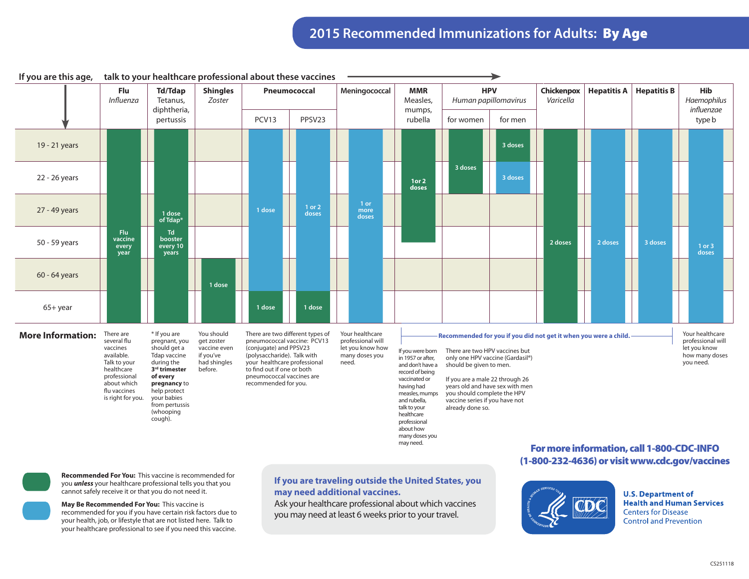|                          | Flu<br>Influenza                                                                                                                                     | <b>Td/Tdap</b><br>Tetanus,<br>diphtheria,                                                                                                                                                                            | <b>Shingles</b><br>Zoster                                                        | Pneumococcal<br>PCV13<br>PPSV23                                                                                                                                                                                                             |                 | Meningococcal                                                                       |  | <b>MMR</b><br>Measles,                                                                                                                                                                                                                                                                                                                                                                                                                                                                                                                                                                                                                                                 | <b>HPV</b><br>Human papillomavirus |         | Chickenpox<br>Varicella | <b>Hepatitis A</b> | <b>Hepatitis B</b> | Hib<br>Haemophilus<br>influenzae                                                    |
|--------------------------|------------------------------------------------------------------------------------------------------------------------------------------------------|----------------------------------------------------------------------------------------------------------------------------------------------------------------------------------------------------------------------|----------------------------------------------------------------------------------|---------------------------------------------------------------------------------------------------------------------------------------------------------------------------------------------------------------------------------------------|-----------------|-------------------------------------------------------------------------------------|--|------------------------------------------------------------------------------------------------------------------------------------------------------------------------------------------------------------------------------------------------------------------------------------------------------------------------------------------------------------------------------------------------------------------------------------------------------------------------------------------------------------------------------------------------------------------------------------------------------------------------------------------------------------------------|------------------------------------|---------|-------------------------|--------------------|--------------------|-------------------------------------------------------------------------------------|
|                          |                                                                                                                                                      | pertussis                                                                                                                                                                                                            |                                                                                  |                                                                                                                                                                                                                                             |                 |                                                                                     |  | mumps,<br>rubella                                                                                                                                                                                                                                                                                                                                                                                                                                                                                                                                                                                                                                                      | for women                          | for men |                         |                    |                    | type b                                                                              |
| 19 - 21 years            |                                                                                                                                                      |                                                                                                                                                                                                                      |                                                                                  |                                                                                                                                                                                                                                             |                 |                                                                                     |  |                                                                                                                                                                                                                                                                                                                                                                                                                                                                                                                                                                                                                                                                        |                                    | 3 doses |                         |                    |                    |                                                                                     |
| 22 - 26 years            |                                                                                                                                                      |                                                                                                                                                                                                                      |                                                                                  |                                                                                                                                                                                                                                             |                 |                                                                                     |  | 1 or 2<br>doses                                                                                                                                                                                                                                                                                                                                                                                                                                                                                                                                                                                                                                                        | 3 doses                            | 3 doses |                         |                    |                    |                                                                                     |
| 27 - 49 years            |                                                                                                                                                      | 1 dose<br>of Tdap*                                                                                                                                                                                                   |                                                                                  | 1 dose                                                                                                                                                                                                                                      | 1 or 2<br>doses | 1 or<br>more<br>doses                                                               |  |                                                                                                                                                                                                                                                                                                                                                                                                                                                                                                                                                                                                                                                                        |                                    |         |                         |                    |                    |                                                                                     |
| 50 - 59 years            | Flu<br>vaccine<br>every<br>year                                                                                                                      | Td<br>booster<br>every 10<br>years                                                                                                                                                                                   |                                                                                  |                                                                                                                                                                                                                                             |                 |                                                                                     |  |                                                                                                                                                                                                                                                                                                                                                                                                                                                                                                                                                                                                                                                                        |                                    |         | 2 doses                 | 2 doses            | 3 doses            | 1 or 3<br>doses                                                                     |
| 60 - 64 years            |                                                                                                                                                      |                                                                                                                                                                                                                      | 1 dose                                                                           |                                                                                                                                                                                                                                             |                 |                                                                                     |  |                                                                                                                                                                                                                                                                                                                                                                                                                                                                                                                                                                                                                                                                        |                                    |         |                         |                    |                    |                                                                                     |
| $65+year$                |                                                                                                                                                      |                                                                                                                                                                                                                      |                                                                                  | 1 dose                                                                                                                                                                                                                                      | 1 dose          |                                                                                     |  |                                                                                                                                                                                                                                                                                                                                                                                                                                                                                                                                                                                                                                                                        |                                    |         |                         |                    |                    |                                                                                     |
| <b>More Information:</b> | There are<br>several flu<br>vaccines<br>available.<br>Talk to your<br>healthcare<br>professional<br>about which<br>flu vaccines<br>is right for you. | * If you are<br>pregnant, you<br>should get a<br><b>Tdap vaccine</b><br>during the<br>3 <sup>rd</sup> trimester<br>of every<br>pregnancy to<br>help protect<br>your babies<br>from pertussis<br>(whooping<br>cough). | You should<br>get zoster<br>vaccine even<br>if you've<br>had shingles<br>before. | There are two different types of<br>pneumococcal vaccine: PCV13<br>(conjugate) and PPSV23<br>(polysaccharide). Talk with<br>your healthcare professional<br>to find out if one or both<br>pneumococcal vaccines are<br>recommended for you. |                 | Your healthcare<br>professional will<br>let you know how<br>many doses you<br>need. |  | Recommended for you if you did not get it when you were a child.<br>There are two HPV vaccines but<br>If you were born<br>in 1957 or after,<br>only one HPV vaccine (Gardasil®)<br>should be given to men.<br>and don't have a<br>record of being<br>vaccinated or<br>If you are a male 22 through 26<br>years old and have sex with men<br>having had<br>you should complete the HPV<br>measles, mumps<br>and rubella,<br>vaccine series if you have not<br>already done so.<br>talk to your<br>healthcare<br>professional<br>about how<br>many doses you<br>may need.<br>For more information, call 1-800-CDC-INFO<br>(1-800-232-4636) or visit www.cdc.gov/vaccines |                                    |         |                         |                    |                    | Your healthcare<br>professional will<br>let you know<br>how many doses<br>you need. |

**If you are traveling outside the United States, you** 

Ask your healthcare professional about which vaccines you may need at least 6 weeks prior to your travel.

**may need additional vaccines.**

**If you are this age, talk to your healthcare professional about these vaccines**



**Recommended For You:** This vaccine is recommended for you *unless* your healthcare professional tells you that you cannot safely receive it or that you do not need it.

**May Be Recommended For You:** This vaccine is recommended for you if you have certain risk factors due to your health, job, or lifestyle that are not listed here. Talk to your healthcare professional to see if you need this vaccine.



**U.S. Department of Health and Human Services Centers for Disease Control and Prevention**